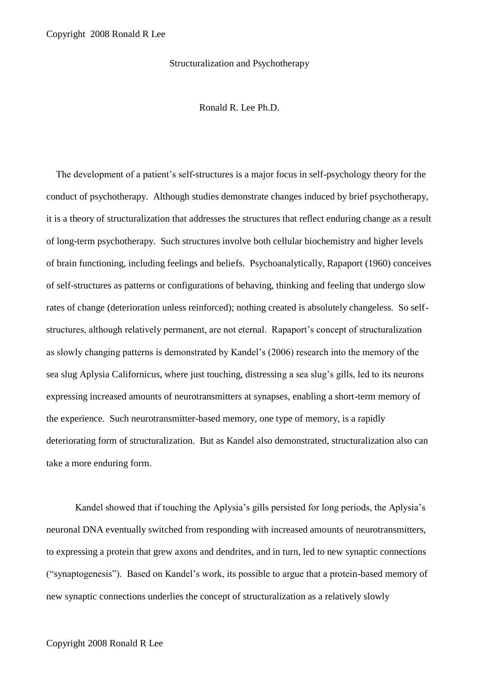Structuralization and Psychotherapy

Ronald R. Lee Ph.D.

 The development of a patient's self-structures is a major focus in self-psychology theory for the conduct of psychotherapy. Although studies demonstrate changes induced by brief psychotherapy, it is a theory of structuralization that addresses the structures that reflect enduring change as a result of long-term psychotherapy. Such structures involve both cellular biochemistry and higher levels of brain functioning, including feelings and beliefs. Psychoanalytically, Rapaport (1960) conceives of self-structures as patterns or configurations of behaving, thinking and feeling that undergo slow rates of change (deterioration unless reinforced); nothing created is absolutely changeless. So selfstructures, although relatively permanent, are not eternal. Rapaport's concept of structuralization as slowly changing patterns is demonstrated by Kandel's (2006) research into the memory of the sea slug Aplysia Californicus, where just touching, distressing a sea slug's gills, led to its neurons expressing increased amounts of neurotransmitters at synapses, enabling a short-term memory of the experience. Such neurotransmitter-based memory, one type of memory, is a rapidly deteriorating form of structuralization. But as Kandel also demonstrated, structuralization also can take a more enduring form.

Kandel showed that if touching the Aplysia's gills persisted for long periods, the Aplysia's neuronal DNA eventually switched from responding with increased amounts of neurotransmitters, to expressing a protein that grew axons and dendrites, and in turn, led to new synaptic connections ("synaptogenesis"). Based on Kandel's work, its possible to argue that a protein-based memory of new synaptic connections underlies the concept of structuralization as a relatively slowly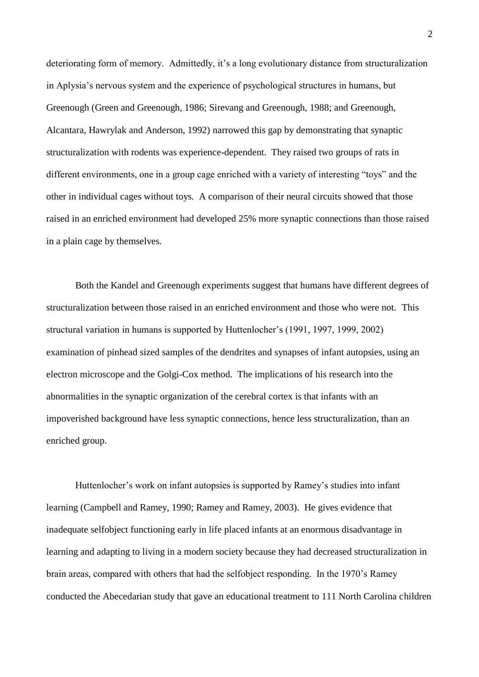deteriorating form of memory. Admittedly, it's a long evolutionary distance from structuralization in Aplysia's nervous system and the experience of psychological structures in humans, but Greenough (Green and Greenough, 1986; Sirevang and Greenough, 1988; and Greenough, Alcantara, Hawrylak and Anderson, 1992) narrowed this gap by demonstrating that synaptic structuralization with rodents was experience-dependent. They raised two groups of rats in different environments, one in a group cage enriched with a variety of interesting "toys" and the other in individual cages without toys. A comparison of their neural circuits showed that those raised in an enriched environment had developed 25% more synaptic connections than those raised in a plain cage by themselves.

Both the Kandel and Greenough experiments suggest that humans have different degrees of structuralization between those raised in an enriched environment and those who were not. This structural variation in humans is supported by Huttenlocher's (1991, 1997, 1999, 2002) examination of pinhead sized samples of the dendrites and synapses of infant autopsies, using an electron microscope and the Golgi-Cox method. The implications of his research into the abnormalities in the synaptic organization of the cerebral cortex is that infants with an impoverished background have less synaptic connections, hence less structuralization, than an enriched group.

Huttenlocher's work on infant autopsies is supported by Ramey's studies into infant learning (Campbell and Ramey, 1990; Ramey and Ramey, 2003). He gives evidence that inadequate selfobject functioning early in life placed infants at an enormous disadvantage in learning and adapting to living in a modern society because they had decreased structuralization in brain areas, compared with others that had the selfobject responding. In the 1970's Ramey conducted the Abecedarian study that gave an educational treatment to 111 North Carolina children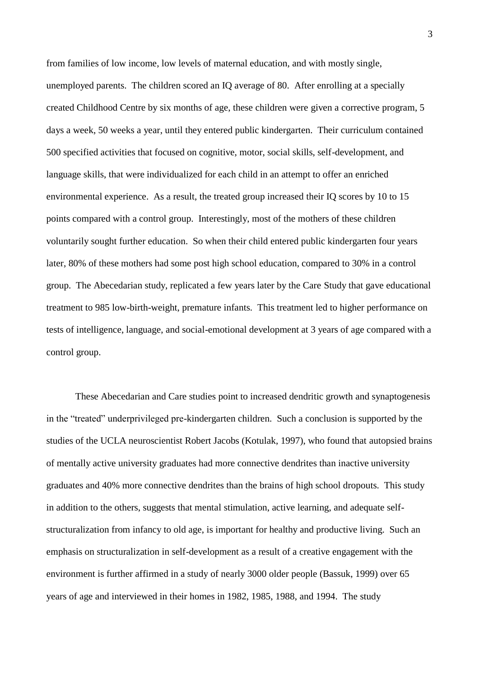from families of low income, low levels of maternal education, and with mostly single, unemployed parents. The children scored an IQ average of 80. After enrolling at a specially created Childhood Centre by six months of age, these children were given a corrective program, 5 days a week, 50 weeks a year, until they entered public kindergarten. Their curriculum contained 500 specified activities that focused on cognitive, motor, social skills, self-development, and language skills, that were individualized for each child in an attempt to offer an enriched environmental experience. As a result, the treated group increased their IQ scores by 10 to 15 points compared with a control group. Interestingly, most of the mothers of these children voluntarily sought further education. So when their child entered public kindergarten four years later, 80% of these mothers had some post high school education, compared to 30% in a control group. The Abecedarian study, replicated a few years later by the Care Study that gave educational treatment to 985 low-birth-weight, premature infants. This treatment led to higher performance on tests of intelligence, language, and social-emotional development at 3 years of age compared with a control group.

These Abecedarian and Care studies point to increased dendritic growth and synaptogenesis in the "treated" underprivileged pre-kindergarten children. Such a conclusion is supported by the studies of the UCLA neuroscientist Robert Jacobs (Kotulak, 1997), who found that autopsied brains of mentally active university graduates had more connective dendrites than inactive university graduates and 40% more connective dendrites than the brains of high school dropouts. This study in addition to the others, suggests that mental stimulation, active learning, and adequate selfstructuralization from infancy to old age, is important for healthy and productive living. Such an emphasis on structuralization in self-development as a result of a creative engagement with the environment is further affirmed in a study of nearly 3000 older people (Bassuk, 1999) over 65 years of age and interviewed in their homes in 1982, 1985, 1988, and 1994. The study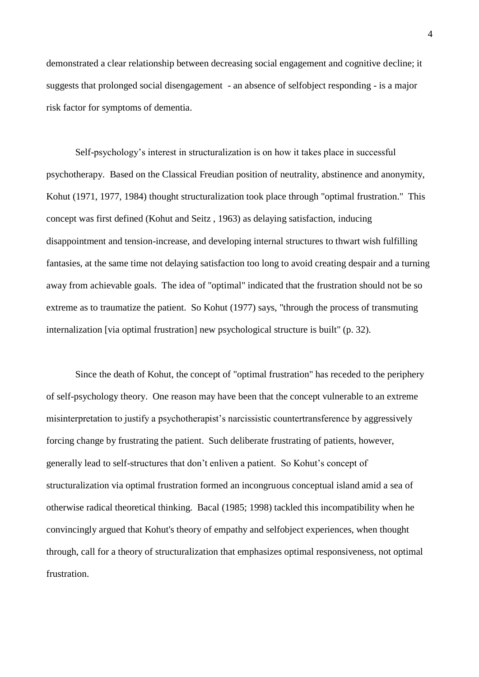demonstrated a clear relationship between decreasing social engagement and cognitive decline; it suggests that prolonged social disengagement - an absence of selfobject responding - is a major risk factor for symptoms of dementia.

Self-psychology's interest in structuralization is on how it takes place in successful psychotherapy. Based on the Classical Freudian position of neutrality, abstinence and anonymity, Kohut (1971, 1977, 1984) thought structuralization took place through "optimal frustration." This concept was first defined (Kohut and Seitz , 1963) as delaying satisfaction, inducing disappointment and tension-increase, and developing internal structures to thwart wish fulfilling fantasies, at the same time not delaying satisfaction too long to avoid creating despair and a turning away from achievable goals. The idea of "optimal" indicated that the frustration should not be so extreme as to traumatize the patient. So Kohut (1977) says, "through the process of transmuting internalization [via optimal frustration] new psychological structure is built" (p. 32).

Since the death of Kohut, the concept of "optimal frustration" has receded to the periphery of self-psychology theory. One reason may have been that the concept vulnerable to an extreme misinterpretation to justify a psychotherapist's narcissistic countertransference by aggressively forcing change by frustrating the patient. Such deliberate frustrating of patients, however, generally lead to self-structures that don't enliven a patient. So Kohut's concept of structuralization via optimal frustration formed an incongruous conceptual island amid a sea of otherwise radical theoretical thinking. Bacal (1985; 1998) tackled this incompatibility when he convincingly argued that Kohut's theory of empathy and selfobject experiences, when thought through, call for a theory of structuralization that emphasizes optimal responsiveness, not optimal frustration.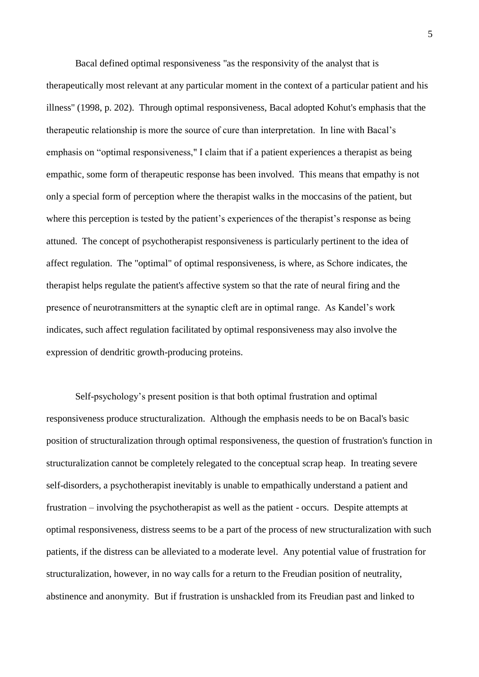Bacal defined optimal responsiveness "as the responsivity of the analyst that is therapeutically most relevant at any particular moment in the context of a particular patient and his illness" (1998, p. 202). Through optimal responsiveness, Bacal adopted Kohut's emphasis that the therapeutic relationship is more the source of cure than interpretation. In line with Bacal's emphasis on "optimal responsiveness," I claim that if a patient experiences a therapist as being empathic, some form of therapeutic response has been involved. This means that empathy is not only a special form of perception where the therapist walks in the moccasins of the patient, but where this perception is tested by the patient's experiences of the therapist's response as being attuned. The concept of psychotherapist responsiveness is particularly pertinent to the idea of affect regulation. The "optimal" of optimal responsiveness, is where, as Schore indicates, the therapist helps regulate the patient's affective system so that the rate of neural firing and the presence of neurotransmitters at the synaptic cleft are in optimal range. As Kandel's work indicates, such affect regulation facilitated by optimal responsiveness may also involve the expression of dendritic growth-producing proteins.

Self-psychology's present position is that both optimal frustration and optimal responsiveness produce structuralization. Although the emphasis needs to be on Bacal's basic position of structuralization through optimal responsiveness, the question of frustration's function in structuralization cannot be completely relegated to the conceptual scrap heap. In treating severe self-disorders, a psychotherapist inevitably is unable to empathically understand a patient and frustration – involving the psychotherapist as well as the patient - occurs. Despite attempts at optimal responsiveness, distress seems to be a part of the process of new structuralization with such patients, if the distress can be alleviated to a moderate level. Any potential value of frustration for structuralization, however, in no way calls for a return to the Freudian position of neutrality, abstinence and anonymity. But if frustration is unshackled from its Freudian past and linked to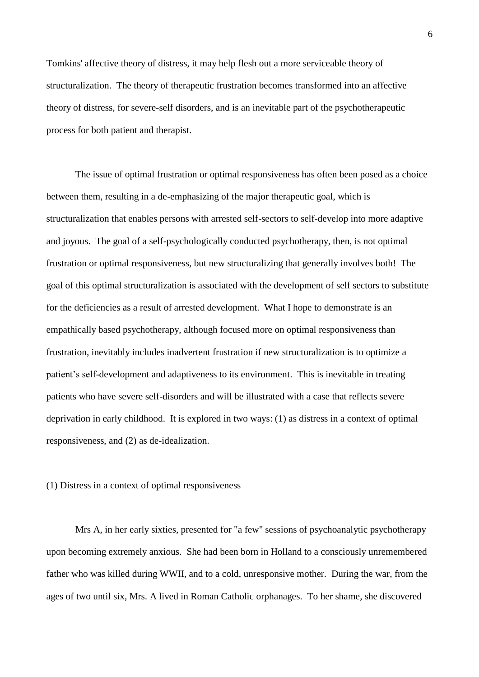Tomkins' affective theory of distress, it may help flesh out a more serviceable theory of structuralization. The theory of therapeutic frustration becomes transformed into an affective theory of distress, for severe-self disorders, and is an inevitable part of the psychotherapeutic process for both patient and therapist.

The issue of optimal frustration or optimal responsiveness has often been posed as a choice between them, resulting in a de-emphasizing of the major therapeutic goal, which is structuralization that enables persons with arrested self-sectors to self-develop into more adaptive and joyous. The goal of a self-psychologically conducted psychotherapy, then, is not optimal frustration or optimal responsiveness, but new structuralizing that generally involves both! The goal of this optimal structuralization is associated with the development of self sectors to substitute for the deficiencies as a result of arrested development. What I hope to demonstrate is an empathically based psychotherapy, although focused more on optimal responsiveness than frustration, inevitably includes inadvertent frustration if new structuralization is to optimize a patient's self-development and adaptiveness to its environment. This is inevitable in treating patients who have severe self-disorders and will be illustrated with a case that reflects severe deprivation in early childhood. It is explored in two ways: (1) as distress in a context of optimal responsiveness, and (2) as de-idealization.

## (1) Distress in a context of optimal responsiveness

Mrs A, in her early sixties, presented for "a few" sessions of psychoanalytic psychotherapy upon becoming extremely anxious. She had been born in Holland to a consciously unremembered father who was killed during WWII, and to a cold, unresponsive mother. During the war, from the ages of two until six, Mrs. A lived in Roman Catholic orphanages. To her shame, she discovered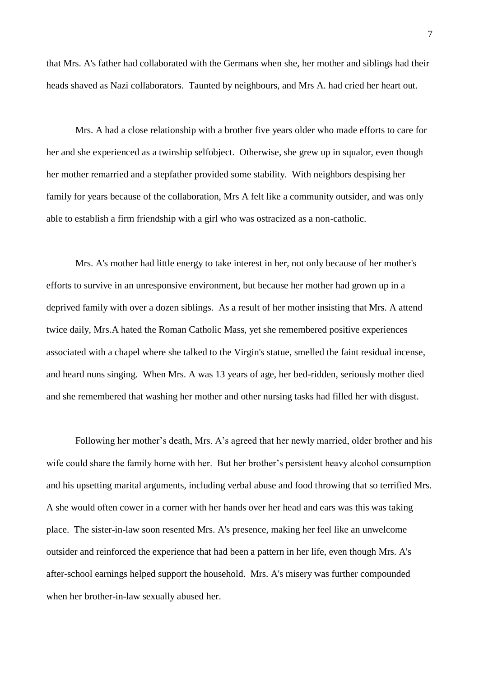that Mrs. A's father had collaborated with the Germans when she, her mother and siblings had their heads shaved as Nazi collaborators. Taunted by neighbours, and Mrs A. had cried her heart out.

Mrs. A had a close relationship with a brother five years older who made efforts to care for her and she experienced as a twinship selfobject. Otherwise, she grew up in squalor, even though her mother remarried and a stepfather provided some stability. With neighbors despising her family for years because of the collaboration, Mrs A felt like a community outsider, and was only able to establish a firm friendship with a girl who was ostracized as a non-catholic.

Mrs. A's mother had little energy to take interest in her, not only because of her mother's efforts to survive in an unresponsive environment, but because her mother had grown up in a deprived family with over a dozen siblings. As a result of her mother insisting that Mrs. A attend twice daily, Mrs.A hated the Roman Catholic Mass, yet she remembered positive experiences associated with a chapel where she talked to the Virgin's statue, smelled the faint residual incense, and heard nuns singing. When Mrs. A was 13 years of age, her bed-ridden, seriously mother died and she remembered that washing her mother and other nursing tasks had filled her with disgust.

Following her mother's death, Mrs. A's agreed that her newly married, older brother and his wife could share the family home with her. But her brother's persistent heavy alcohol consumption and his upsetting marital arguments, including verbal abuse and food throwing that so terrified Mrs. A she would often cower in a corner with her hands over her head and ears was this was taking place. The sister-in-law soon resented Mrs. A's presence, making her feel like an unwelcome outsider and reinforced the experience that had been a pattern in her life, even though Mrs. A's after-school earnings helped support the household. Mrs. A's misery was further compounded when her brother-in-law sexually abused her.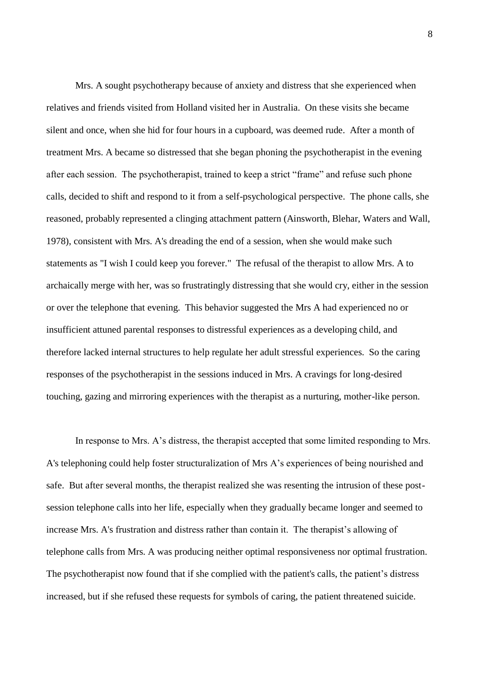Mrs. A sought psychotherapy because of anxiety and distress that she experienced when relatives and friends visited from Holland visited her in Australia. On these visits she became silent and once, when she hid for four hours in a cupboard, was deemed rude. After a month of treatment Mrs. A became so distressed that she began phoning the psychotherapist in the evening after each session. The psychotherapist, trained to keep a strict "frame" and refuse such phone calls, decided to shift and respond to it from a self-psychological perspective. The phone calls, she reasoned, probably represented a clinging attachment pattern (Ainsworth, Blehar, Waters and Wall, 1978), consistent with Mrs. A's dreading the end of a session, when she would make such statements as "I wish I could keep you forever." The refusal of the therapist to allow Mrs. A to archaically merge with her, was so frustratingly distressing that she would cry, either in the session or over the telephone that evening. This behavior suggested the Mrs A had experienced no or insufficient attuned parental responses to distressful experiences as a developing child, and therefore lacked internal structures to help regulate her adult stressful experiences. So the caring responses of the psychotherapist in the sessions induced in Mrs. A cravings for long-desired touching, gazing and mirroring experiences with the therapist as a nurturing, mother-like person.

In response to Mrs. A's distress, the therapist accepted that some limited responding to Mrs. A's telephoning could help foster structuralization of Mrs A's experiences of being nourished and safe. But after several months, the therapist realized she was resenting the intrusion of these postsession telephone calls into her life, especially when they gradually became longer and seemed to increase Mrs. A's frustration and distress rather than contain it. The therapist's allowing of telephone calls from Mrs. A was producing neither optimal responsiveness nor optimal frustration. The psychotherapist now found that if she complied with the patient's calls, the patient's distress increased, but if she refused these requests for symbols of caring, the patient threatened suicide.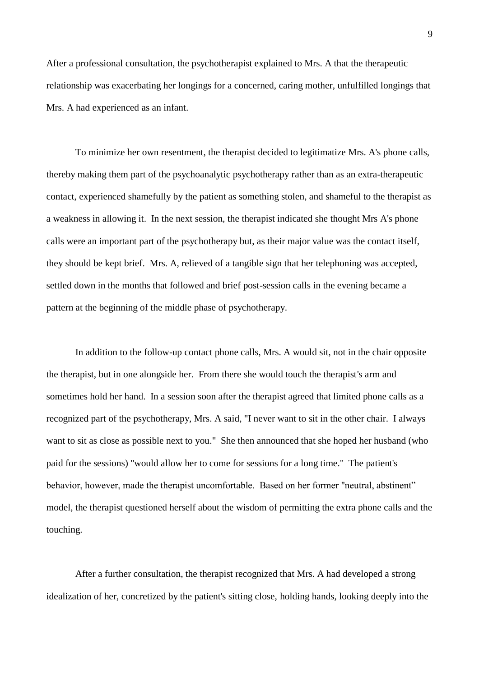After a professional consultation, the psychotherapist explained to Mrs. A that the therapeutic relationship was exacerbating her longings for a concerned, caring mother, unfulfilled longings that Mrs. A had experienced as an infant.

To minimize her own resentment, the therapist decided to legitimatize Mrs. A's phone calls, thereby making them part of the psychoanalytic psychotherapy rather than as an extra-therapeutic contact, experienced shamefully by the patient as something stolen, and shameful to the therapist as a weakness in allowing it. In the next session, the therapist indicated she thought Mrs A's phone calls were an important part of the psychotherapy but, as their major value was the contact itself, they should be kept brief. Mrs. A, relieved of a tangible sign that her telephoning was accepted, settled down in the months that followed and brief post-session calls in the evening became a pattern at the beginning of the middle phase of psychotherapy.

In addition to the follow-up contact phone calls, Mrs. A would sit, not in the chair opposite the therapist, but in one alongside her. From there she would touch the therapist's arm and sometimes hold her hand. In a session soon after the therapist agreed that limited phone calls as a recognized part of the psychotherapy, Mrs. A said, "I never want to sit in the other chair. I always want to sit as close as possible next to you." She then announced that she hoped her husband (who paid for the sessions) "would allow her to come for sessions for a long time." The patient's behavior, however, made the therapist uncomfortable. Based on her former "neutral, abstinent" model, the therapist questioned herself about the wisdom of permitting the extra phone calls and the touching.

After a further consultation, the therapist recognized that Mrs. A had developed a strong idealization of her, concretized by the patient's sitting close, holding hands, looking deeply into the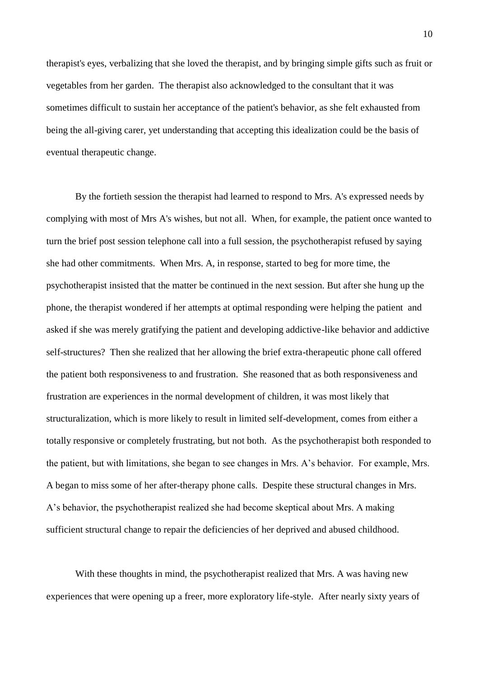therapist's eyes, verbalizing that she loved the therapist, and by bringing simple gifts such as fruit or vegetables from her garden. The therapist also acknowledged to the consultant that it was sometimes difficult to sustain her acceptance of the patient's behavior, as she felt exhausted from being the all-giving carer, yet understanding that accepting this idealization could be the basis of eventual therapeutic change.

By the fortieth session the therapist had learned to respond to Mrs. A's expressed needs by complying with most of Mrs A's wishes, but not all. When, for example, the patient once wanted to turn the brief post session telephone call into a full session, the psychotherapist refused by saying she had other commitments. When Mrs. A, in response, started to beg for more time, the psychotherapist insisted that the matter be continued in the next session. But after she hung up the phone, the therapist wondered if her attempts at optimal responding were helping the patient and asked if she was merely gratifying the patient and developing addictive-like behavior and addictive self-structures? Then she realized that her allowing the brief extra-therapeutic phone call offered the patient both responsiveness to and frustration. She reasoned that as both responsiveness and frustration are experiences in the normal development of children, it was most likely that structuralization, which is more likely to result in limited self-development, comes from either a totally responsive or completely frustrating, but not both. As the psychotherapist both responded to the patient, but with limitations, she began to see changes in Mrs. A's behavior. For example, Mrs. A began to miss some of her after-therapy phone calls. Despite these structural changes in Mrs. A's behavior, the psychotherapist realized she had become skeptical about Mrs. A making sufficient structural change to repair the deficiencies of her deprived and abused childhood.

With these thoughts in mind, the psychotherapist realized that Mrs. A was having new experiences that were opening up a freer, more exploratory life-style. After nearly sixty years of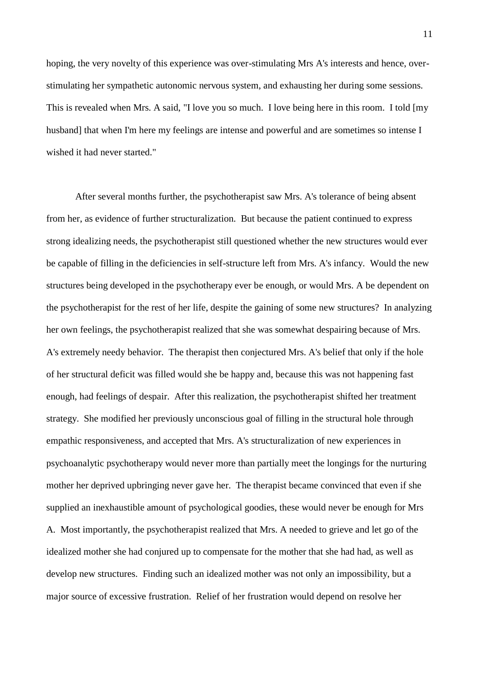hoping, the very novelty of this experience was over-stimulating Mrs A's interests and hence, overstimulating her sympathetic autonomic nervous system, and exhausting her during some sessions. This is revealed when Mrs. A said, "I love you so much. I love being here in this room. I told [my husband] that when I'm here my feelings are intense and powerful and are sometimes so intense I wished it had never started."

After several months further, the psychotherapist saw Mrs. A's tolerance of being absent from her, as evidence of further structuralization. But because the patient continued to express strong idealizing needs, the psychotherapist still questioned whether the new structures would ever be capable of filling in the deficiencies in self-structure left from Mrs. A's infancy. Would the new structures being developed in the psychotherapy ever be enough, or would Mrs. A be dependent on the psychotherapist for the rest of her life, despite the gaining of some new structures? In analyzing her own feelings, the psychotherapist realized that she was somewhat despairing because of Mrs. A's extremely needy behavior. The therapist then conjectured Mrs. A's belief that only if the hole of her structural deficit was filled would she be happy and, because this was not happening fast enough, had feelings of despair. After this realization, the psychotherapist shifted her treatment strategy. She modified her previously unconscious goal of filling in the structural hole through empathic responsiveness, and accepted that Mrs. A's structuralization of new experiences in psychoanalytic psychotherapy would never more than partially meet the longings for the nurturing mother her deprived upbringing never gave her. The therapist became convinced that even if she supplied an inexhaustible amount of psychological goodies, these would never be enough for Mrs A. Most importantly, the psychotherapist realized that Mrs. A needed to grieve and let go of the idealized mother she had conjured up to compensate for the mother that she had had, as well as develop new structures. Finding such an idealized mother was not only an impossibility, but a major source of excessive frustration. Relief of her frustration would depend on resolve her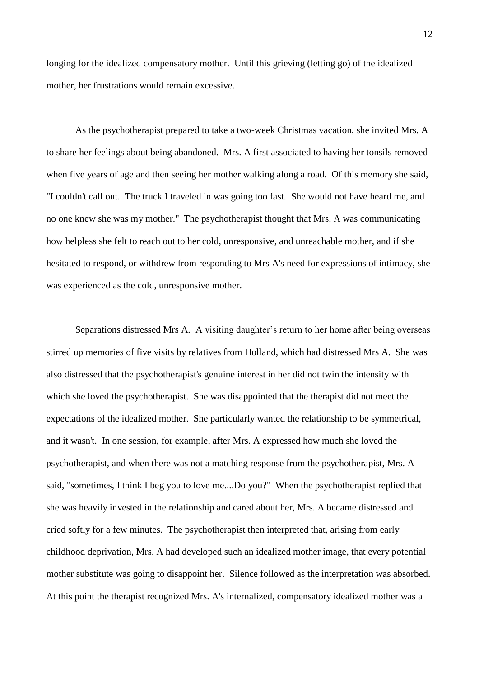longing for the idealized compensatory mother. Until this grieving (letting go) of the idealized mother, her frustrations would remain excessive.

As the psychotherapist prepared to take a two-week Christmas vacation, she invited Mrs. A to share her feelings about being abandoned. Mrs. A first associated to having her tonsils removed when five years of age and then seeing her mother walking along a road. Of this memory she said, "I couldn't call out. The truck I traveled in was going too fast. She would not have heard me, and no one knew she was my mother." The psychotherapist thought that Mrs. A was communicating how helpless she felt to reach out to her cold, unresponsive, and unreachable mother, and if she hesitated to respond, or withdrew from responding to Mrs A's need for expressions of intimacy, she was experienced as the cold, unresponsive mother.

Separations distressed Mrs A. A visiting daughter's return to her home after being overseas stirred up memories of five visits by relatives from Holland, which had distressed Mrs A. She was also distressed that the psychotherapist's genuine interest in her did not twin the intensity with which she loved the psychotherapist. She was disappointed that the therapist did not meet the expectations of the idealized mother. She particularly wanted the relationship to be symmetrical, and it wasn't. In one session, for example, after Mrs. A expressed how much she loved the psychotherapist, and when there was not a matching response from the psychotherapist, Mrs. A said, "sometimes, I think I beg you to love me....Do you?" When the psychotherapist replied that she was heavily invested in the relationship and cared about her, Mrs. A became distressed and cried softly for a few minutes. The psychotherapist then interpreted that, arising from early childhood deprivation, Mrs. A had developed such an idealized mother image, that every potential mother substitute was going to disappoint her. Silence followed as the interpretation was absorbed. At this point the therapist recognized Mrs. A's internalized, compensatory idealized mother was a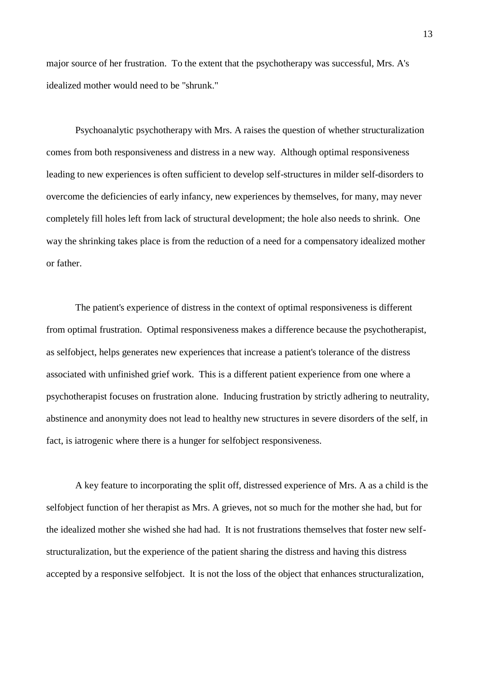major source of her frustration. To the extent that the psychotherapy was successful, Mrs. A's idealized mother would need to be "shrunk."

Psychoanalytic psychotherapy with Mrs. A raises the question of whether structuralization comes from both responsiveness and distress in a new way. Although optimal responsiveness leading to new experiences is often sufficient to develop self-structures in milder self-disorders to overcome the deficiencies of early infancy, new experiences by themselves, for many, may never completely fill holes left from lack of structural development; the hole also needs to shrink. One way the shrinking takes place is from the reduction of a need for a compensatory idealized mother or father.

The patient's experience of distress in the context of optimal responsiveness is different from optimal frustration. Optimal responsiveness makes a difference because the psychotherapist, as selfobject, helps generates new experiences that increase a patient's tolerance of the distress associated with unfinished grief work. This is a different patient experience from one where a psychotherapist focuses on frustration alone. Inducing frustration by strictly adhering to neutrality, abstinence and anonymity does not lead to healthy new structures in severe disorders of the self, in fact, is iatrogenic where there is a hunger for selfobject responsiveness.

A key feature to incorporating the split off, distressed experience of Mrs. A as a child is the selfobject function of her therapist as Mrs. A grieves, not so much for the mother she had, but for the idealized mother she wished she had had. It is not frustrations themselves that foster new selfstructuralization, but the experience of the patient sharing the distress and having this distress accepted by a responsive selfobject. It is not the loss of the object that enhances structuralization,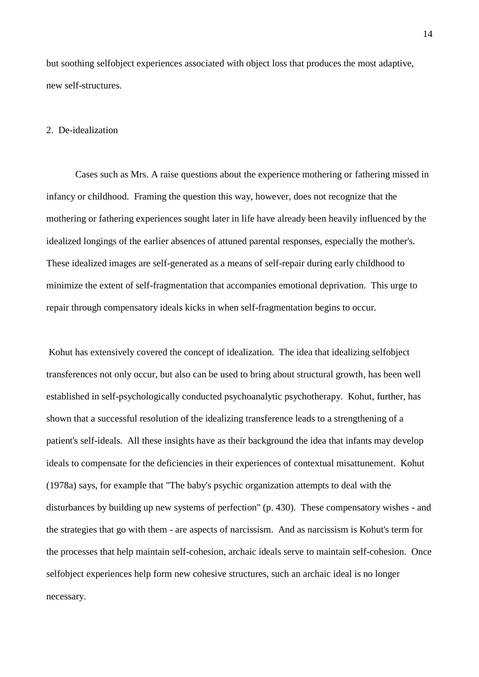but soothing selfobject experiences associated with object loss that produces the most adaptive, new self-structures.

## 2. De-idealization

Cases such as Mrs. A raise questions about the experience mothering or fathering missed in infancy or childhood. Framing the question this way, however, does not recognize that the mothering or fathering experiences sought later in life have already been heavily influenced by the idealized longings of the earlier absences of attuned parental responses, especially the mother's. These idealized images are self-generated as a means of self-repair during early childhood to minimize the extent of self-fragmentation that accompanies emotional deprivation. This urge to repair through compensatory ideals kicks in when self-fragmentation begins to occur.

Kohut has extensively covered the concept of idealization. The idea that idealizing selfobject transferences not only occur, but also can be used to bring about structural growth, has been well established in self-psychologically conducted psychoanalytic psychotherapy. Kohut, further, has shown that a successful resolution of the idealizing transference leads to a strengthening of a patient's self-ideals. All these insights have as their background the idea that infants may develop ideals to compensate for the deficiencies in their experiences of contextual misattunement. Kohut (1978a) says, for example that "The baby's psychic organization attempts to deal with the disturbances by building up new systems of perfection" (p. 430). These compensatory wishes - and the strategies that go with them - are aspects of narcissism. And as narcissism is Kohut's term for the processes that help maintain self-cohesion, archaic ideals serve to maintain self-cohesion. Once selfobject experiences help form new cohesive structures, such an archaic ideal is no longer necessary.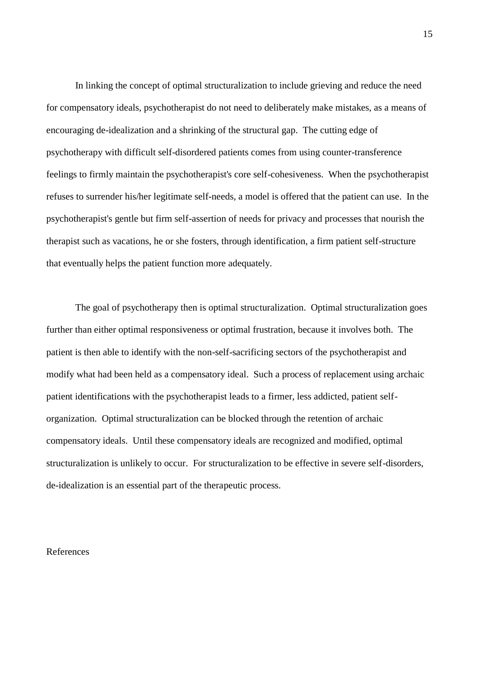In linking the concept of optimal structuralization to include grieving and reduce the need for compensatory ideals, psychotherapist do not need to deliberately make mistakes, as a means of encouraging de-idealization and a shrinking of the structural gap. The cutting edge of psychotherapy with difficult self-disordered patients comes from using counter-transference feelings to firmly maintain the psychotherapist's core self-cohesiveness. When the psychotherapist refuses to surrender his/her legitimate self-needs, a model is offered that the patient can use. In the psychotherapist's gentle but firm self-assertion of needs for privacy and processes that nourish the therapist such as vacations, he or she fosters, through identification, a firm patient self-structure that eventually helps the patient function more adequately.

The goal of psychotherapy then is optimal structuralization. Optimal structuralization goes further than either optimal responsiveness or optimal frustration, because it involves both. The patient is then able to identify with the non-self-sacrificing sectors of the psychotherapist and modify what had been held as a compensatory ideal. Such a process of replacement using archaic patient identifications with the psychotherapist leads to a firmer, less addicted, patient selforganization. Optimal structuralization can be blocked through the retention of archaic compensatory ideals. Until these compensatory ideals are recognized and modified, optimal structuralization is unlikely to occur. For structuralization to be effective in severe self-disorders, de-idealization is an essential part of the therapeutic process.

## References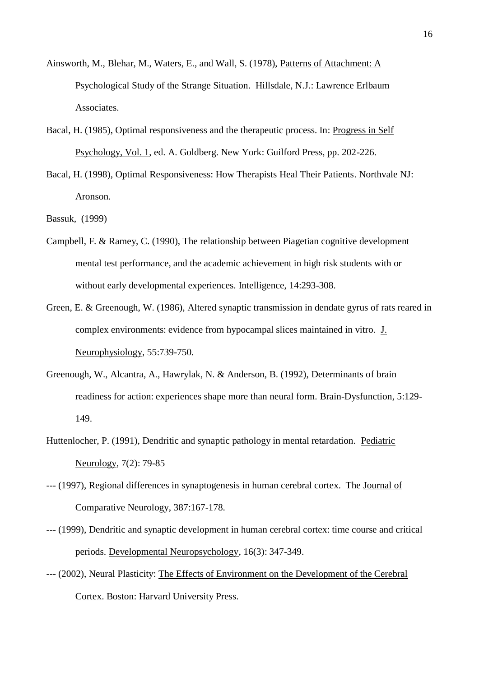- Ainsworth, M., Blehar, M., Waters, E., and Wall, S. (1978), Patterns of Attachment: A Psychological Study of the Strange Situation. Hillsdale, N.J.: Lawrence Erlbaum Associates.
- Bacal, H. (1985), Optimal responsiveness and the therapeutic process. In: Progress in Self Psychology, Vol. 1, ed. A. Goldberg. New York: Guilford Press, pp. 202-226.
- Bacal, H. (1998), Optimal Responsiveness: How Therapists Heal Their Patients. Northvale NJ: Aronson.
- Bassuk, (1999)
- Campbell, F. & Ramey, C. (1990), The relationship between Piagetian cognitive development mental test performance, and the academic achievement in high risk students with or without early developmental experiences. Intelligence, 14:293-308.
- Green, E. & Greenough, W. (1986), Altered synaptic transmission in dendate gyrus of rats reared in complex environments: evidence from hypocampal slices maintained in vitro. J. Neurophysiology, 55:739-750.
- Greenough, W., Alcantra, A., Hawrylak, N. & Anderson, B. (1992), Determinants of brain readiness for action: experiences shape more than neural form. Brain-Dysfunction, 5:129- 149.
- Huttenlocher, P. (1991), Dendritic and synaptic pathology in mental retardation. Pediatric Neurology, 7(2): 79-85
- --- (1997), Regional differences in synaptogenesis in human cerebral cortex. The Journal of Comparative Neurology, 387:167-178.
- --- (1999), Dendritic and synaptic development in human cerebral cortex: time course and critical periods. Developmental Neuropsychology, 16(3): 347-349.
- --- (2002), Neural Plasticity: The Effects of Environment on the Development of the Cerebral Cortex. Boston: Harvard University Press.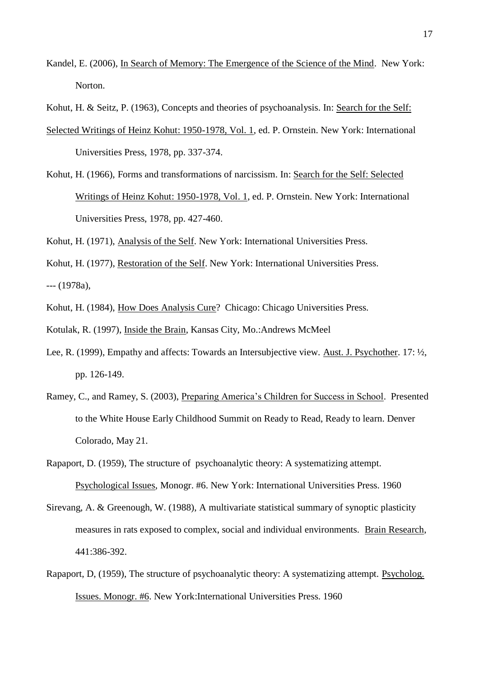Kandel, E. (2006), In Search of Memory: The Emergence of the Science of the Mind. New York: Norton.

Kohut, H. & Seitz, P. (1963), Concepts and theories of psychoanalysis. In: Search for the Self:

- Selected Writings of Heinz Kohut: 1950-1978, Vol. 1, ed. P. Ornstein. New York: International Universities Press, 1978, pp. 337-374.
- Kohut, H. (1966), Forms and transformations of narcissism. In: Search for the Self: Selected Writings of Heinz Kohut: 1950-1978, Vol. 1, ed. P. Ornstein. New York: International Universities Press, 1978, pp. 427-460.

Kohut, H. (1971), Analysis of the Self. New York: International Universities Press.

Kohut, H. (1977), Restoration of the Self. New York: International Universities Press. --- (1978a),

Kohut, H. (1984), How Does Analysis Cure? Chicago: Chicago Universities Press.

Kotulak, R. (1997), Inside the Brain, Kansas City, Mo.:Andrews McMeel

- Lee, R. (1999), Empathy and affects: Towards an Intersubjective view. Aust. J. Psychother. 17: ½, pp. 126-149.
- Ramey, C., and Ramey, S. (2003), Preparing America's Children for Success in School. Presented to the White House Early Childhood Summit on Ready to Read, Ready to learn. Denver Colorado, May 21.
- Rapaport, D. (1959), The structure of psychoanalytic theory: A systematizing attempt. Psychological Issues, Monogr. #6. New York: International Universities Press. 1960
- Sirevang, A. & Greenough, W. (1988), A multivariate statistical summary of synoptic plasticity measures in rats exposed to complex, social and individual environments. Brain Research, 441:386-392.
- Rapaport, D, (1959), The structure of psychoanalytic theory: A systematizing attempt. Psycholog. Issues. Monogr. #6. New York:International Universities Press. 1960